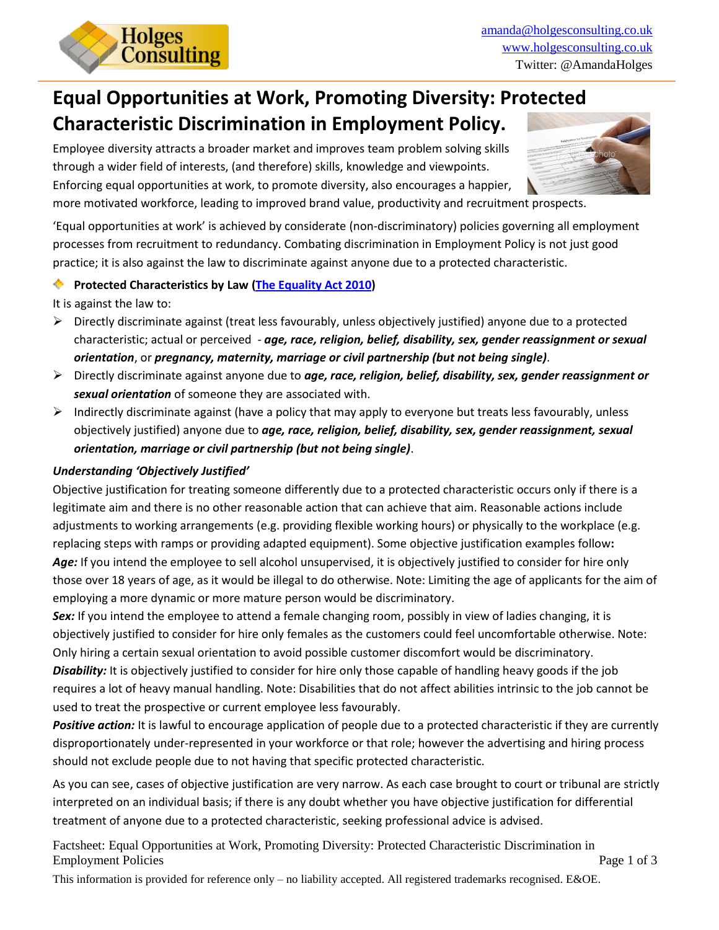

# **Equal Opportunities at Work, Promoting Diversity: Protected Characteristic Discrimination in Employment Policy.**

Employee diversity attracts a broader market and improves team problem solving skills through a wider field of interests, (and therefore) skills, knowledge and viewpoints. Enforcing equal opportunities at work, to promote diversity, also encourages a happier,



more motivated workforce, leading to improved brand value, productivity and recruitment prospects.

'Equal opportunities at work' is achieved by considerate (non-discriminatory) policies governing all employment processes from recruitment to redundancy. Combating discrimination in Employment Policy is not just good practice; it is also against the law to discriminate against anyone due to a protected characteristic.

#### **Protected Characteristics by Law [\(The Equality Act 2010\)](http://www.acas.org.uk/media/pdf/n/8/Equality_Act_2010_guide_for_employers-accessible-version-Nov-2011.pdf)**

It is against the law to:

- $\triangleright$  Directly discriminate against (treat less favourably, unless objectively justified) anyone due to a protected characteristic; actual or perceived - *age, race, religion, belief, disability, sex, gender reassignment or sexual orientation*, or *pregnancy, maternity, marriage or civil partnership (but not being single)*.
- Directly discriminate against anyone due to *age, race, religion, belief, disability, sex, gender reassignment or sexual orientation* of someone they are associated with.
- $\triangleright$  Indirectly discriminate against (have a policy that may apply to everyone but treats less favourably, unless objectively justified) anyone due to *age, race, religion, belief, disability, sex, gender reassignment, sexual orientation, marriage or civil partnership (but not being single)*.

## *Understanding 'Objectively Justified'*

Objective justification for treating someone differently due to a protected characteristic occurs only if there is a legitimate aim and there is no other reasonable action that can achieve that aim. Reasonable actions include adjustments to working arrangements (e.g. providing flexible working hours) or physically to the workplace (e.g. replacing steps with ramps or providing adapted equipment). Some objective justification examples follow**:** *Age:* If you intend the employee to sell alcohol unsupervised, it is objectively justified to consider for hire only those over 18 years of age, as it would be illegal to do otherwise. Note: Limiting the age of applicants for the aim of employing a more dynamic or more mature person would be discriminatory.

*Sex:* If you intend the employee to attend a female changing room, possibly in view of ladies changing, it is objectively justified to consider for hire only females as the customers could feel uncomfortable otherwise. Note: Only hiring a certain sexual orientation to avoid possible customer discomfort would be discriminatory.

*Disability:* It is objectively justified to consider for hire only those capable of handling heavy goods if the job requires a lot of heavy manual handling. Note: Disabilities that do not affect abilities intrinsic to the job cannot be used to treat the prospective or current employee less favourably.

*Positive action:* It is lawful to encourage application of people due to a protected characteristic if they are currently disproportionately under-represented in your workforce or that role; however the advertising and hiring process should not exclude people due to not having that specific protected characteristic.

As you can see, cases of objective justification are very narrow. As each case brought to court or tribunal are strictly interpreted on an individual basis; if there is any doubt whether you have objective justification for differential treatment of anyone due to a protected characteristic, seeking professional advice is advised.

Factsheet: Equal Opportunities at Work, Promoting Diversity: Protected Characteristic Discrimination in Employment Policies Page 1 of 3

This information is provided for reference only – no liability accepted. All registered trademarks recognised. E&OE.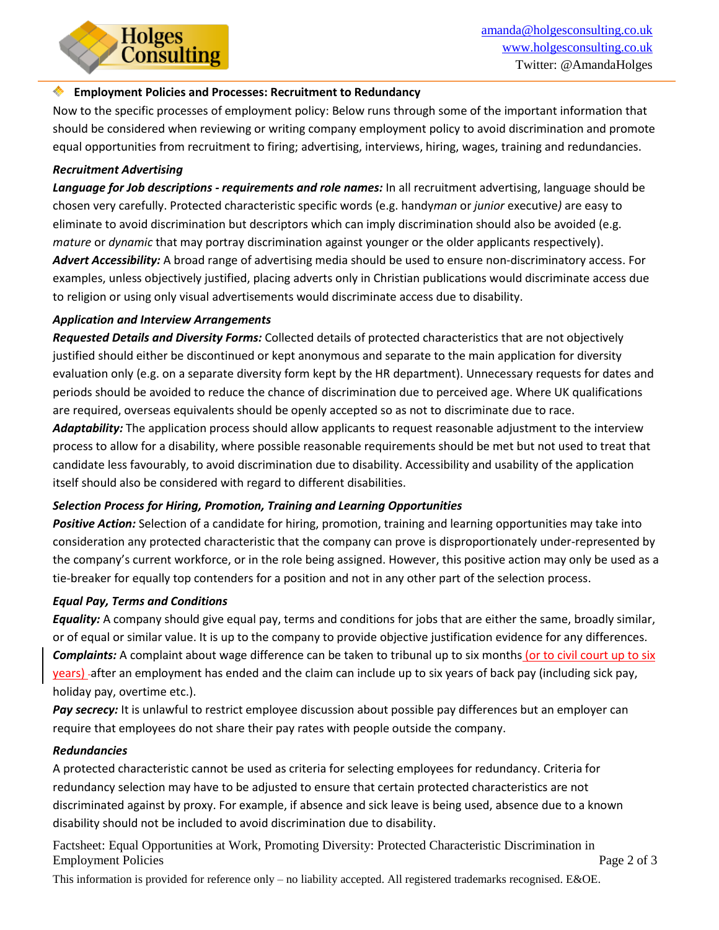#### **Employment Policies and Processes: Recruitment to Redundancy**

Now to the specific processes of employment policy: Below runs through some of the important information that should be considered when reviewing or writing company employment policy to avoid discrimination and promote equal opportunities from recruitment to firing; advertising, interviews, hiring, wages, training and redundancies.

#### *Recruitment Advertising*

*Language for Job descriptions - requirements and role names:* In all recruitment advertising, language should be chosen very carefully. Protected characteristic specific words (e.g. handy*man* or *junior* executive*)* are easy to eliminate to avoid discrimination but descriptors which can imply discrimination should also be avoided (e.g. *mature* or *dynamic* that may portray discrimination against younger or the older applicants respectively).

*Advert Accessibility:* A broad range of advertising media should be used to ensure non-discriminatory access. For examples, unless objectively justified, placing adverts only in Christian publications would discriminate access due to religion or using only visual advertisements would discriminate access due to disability.

#### *Application and Interview Arrangements*

Holges<br>Consulting

*Requested Details and Diversity Forms:* Collected details of protected characteristics that are not objectively justified should either be discontinued or kept anonymous and separate to the main application for diversity evaluation only (e.g. on a separate diversity form kept by the HR department). Unnecessary requests for dates and periods should be avoided to reduce the chance of discrimination due to perceived age. Where UK qualifications are required, overseas equivalents should be openly accepted so as not to discriminate due to race.

*Adaptability:* The application process should allow applicants to request reasonable adjustment to the interview process to allow for a disability, where possible reasonable requirements should be met but not used to treat that candidate less favourably, to avoid discrimination due to disability. Accessibility and usability of the application itself should also be considered with regard to different disabilities.

### *Selection Process for Hiring, Promotion, Training and Learning Opportunities*

*Positive Action:* Selection of a candidate for hiring, promotion, training and learning opportunities may take into consideration any protected characteristic that the company can prove is disproportionately under-represented by the company's current workforce, or in the role being assigned. However, this positive action may only be used as a tie-breaker for equally top contenders for a position and not in any other part of the selection process.

#### *Equal Pay, Terms and Conditions*

*Equality:* A company should give equal pay, terms and conditions for jobs that are either the same, broadly similar, or of equal or similar value. It is up to the company to provide objective justification evidence for any differences. *Complaints:* A complaint about wage difference can be taken to tribunal up to six months (or to civil court up to six years) -after an employment has ended and the claim can include up to six years of back pay (including sick pay, holiday pay, overtime etc.).

*Pay secrecy:* It is unlawful to restrict employee discussion about possible pay differences but an employer can require that employees do not share their pay rates with people outside the company.

#### *Redundancies*

A protected characteristic cannot be used as criteria for selecting employees for redundancy. Criteria for redundancy selection may have to be adjusted to ensure that certain protected characteristics are not discriminated against by proxy. For example, if absence and sick leave is being used, absence due to a known disability should not be included to avoid discrimination due to disability.

Factsheet: Equal Opportunities at Work, Promoting Diversity: Protected Characteristic Discrimination in Employment Policies Page 2 of 3

This information is provided for reference only – no liability accepted. All registered trademarks recognised. E&OE.